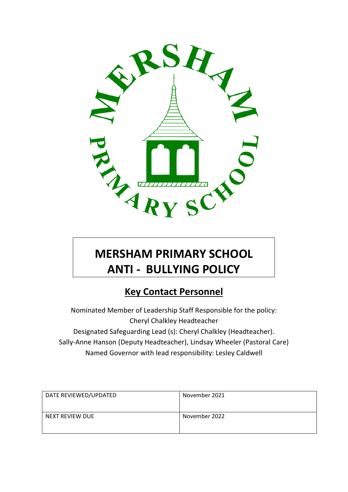

# **MERSHAM PRIMARY SCHOOL ANTI - BULLYING POLICY**

# **Key Contact Personnel**

Nominated Member of Leadership Staff Responsible for the policy: Cheryl Chalkley Headteacher Designated Safeguarding Lead (s): Cheryl Chalkley (Headteacher). Sally-Anne Hanson (Deputy Headteacher), Lindsay Wheeler (Pastoral Care) Named Governor with lead responsibility: Lesley Caldwell

| DATE REVIEWED/UPDATED | November 2021 |
|-----------------------|---------------|
| NEXT REVIEW DUE       | November 2022 |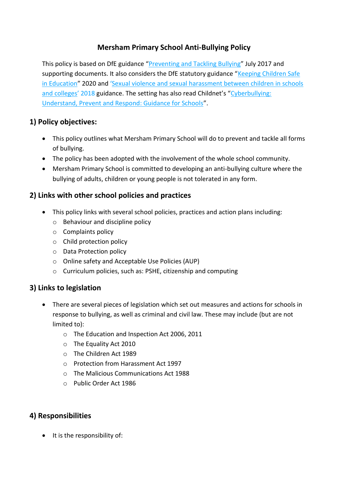# **Mersham Primary School Anti-Bullying Policy**

This policy is based on DfE guidance "[Preventing and Tackling Bullying](file:///C:/Users/AssitA01/AppData/Local/Microsoft/Windows/Temporary%20Internet%20Files/Content.Outlook/ZQ0RB9FM/•%09https:/www.gov.uk/government/publications/preventing-and-tackling-bullying)" July 2017 and supporting documents. It also considers the DfE statutory guidance "Keeping Children Safe [in Education](https://www.gov.uk/government/publications/keeping-children-safe-in-education--2)" 2020 and '[Sexual violence and sexual harassment between children in schools](https://www.gov.uk/government/publications/sexual-violence-and-sexual-harassment-between-children-in-schools-and-colleges)  [and colleges](https://www.gov.uk/government/publications/sexual-violence-and-sexual-harassment-between-children-in-schools-and-colleges)' 2018 guidance. The setting has also read Childnet's "[Cyberbullying:](file:///C:/Users/AssitA01/AppData/Local/Microsoft/Windows/Temporary%20Internet%20Files/Content.Outlook/ZQ0RB9FM/www.childnet.com/resources/cyberbullying-guidance-for-schools)  [Understand, Prevent and Respond: Guidance for Schools](file:///C:/Users/AssitA01/AppData/Local/Microsoft/Windows/Temporary%20Internet%20Files/Content.Outlook/ZQ0RB9FM/www.childnet.com/resources/cyberbullying-guidance-for-schools)".

### **1) Policy objectives:**

- This policy outlines what Mersham Primary School will do to prevent and tackle all forms of bullying.
- The policy has been adopted with the involvement of the whole school community.
- Mersham Primary School is committed to developing an anti-bullying culture where the bullying of adults, children or young people is not tolerated in any form.

#### **2) Links with other school policies and practices**

- This policy links with several school policies, practices and action plans including:
	- o Behaviour and discipline policy
	- o Complaints policy
	- o Child protection policy
	- o Data Protection policy
	- o Online safety and Acceptable Use Policies (AUP)
	- o Curriculum policies, such as: PSHE, citizenship and computing

#### **3) Links to legislation**

- There are several pieces of legislation which set out measures and actions for schools in response to bullying, as well as criminal and civil law. These may include (but are not limited to):
	- o The Education and Inspection Act 2006, 2011
	- o The Equality Act 2010
	- o The Children Act 1989
	- o Protection from Harassment Act 1997
	- o The Malicious Communications Act 1988
	- o Public Order Act 1986

#### **4) Responsibilities**

• It is the responsibility of: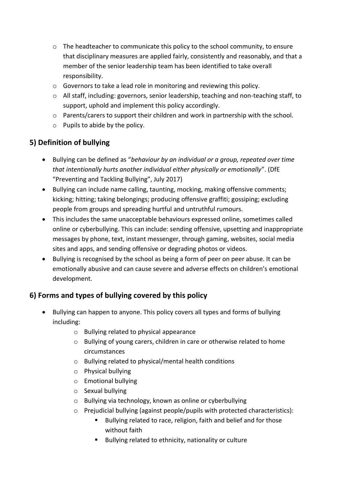- o The headteacher to communicate this policy to the school community, to ensure that disciplinary measures are applied fairly, consistently and reasonably, and that a member of the senior leadership team has been identified to take overall responsibility.
- o Governors to take a lead role in monitoring and reviewing this policy.
- o All staff, including: governors, senior leadership, teaching and non-teaching staff, to support, uphold and implement this policy accordingly.
- o Parents/carers to support their children and work in partnership with the school.
- o Pupils to abide by the policy.

# **5) Definition of bullying**

- Bullying can be defined as "*behaviour by an individual or a group, repeated over time that intentionally hurts another individual either physically or emotionally*". (DfE "Preventing and Tackling Bullying", July 2017)
- Bullying can include name calling, taunting, mocking, making offensive comments; kicking; hitting; taking belongings; producing offensive graffiti; gossiping; excluding people from groups and spreading hurtful and untruthful rumours.
- This includes the same unacceptable behaviours expressed online, sometimes called online or cyberbullying. This can include: sending offensive, upsetting and inappropriate messages by phone, text, instant messenger, through gaming, websites, social media sites and apps, and sending offensive or degrading photos or videos.
- Bullying is recognised by the school as being a form of peer on peer abuse. It can be emotionally abusive and can cause severe and adverse effects on children's emotional development.

# **6) Forms and types of bullying covered by this policy**

- Bullying can happen to anyone. This policy covers all types and forms of bullying including:
	- o Bullying related to physical appearance
	- o Bullying of young carers, children in care or otherwise related to home circumstances
	- o Bullying related to physical/mental health conditions
	- o Physical bullying
	- o Emotional bullying
	- o Sexual bullying
	- o Bullying via technology, known as online or cyberbullying
	- $\circ$  Prejudicial bullying (against people/pupils with protected characteristics):
		- Bullying related to race, religion, faith and belief and for those without faith
		- **Bullying related to ethnicity, nationality or culture**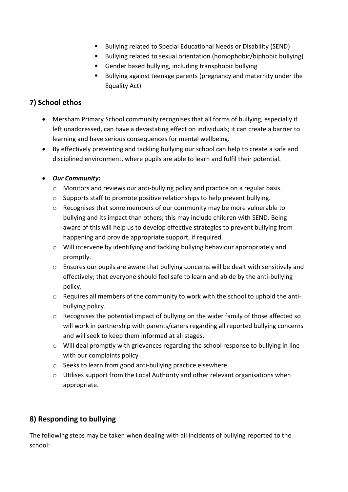- **Bullying related to Special Educational Needs or Disability (SEND)**
- Bullying related to sexual orientation (homophobic/biphobic bullying)
- Gender based bullying, including transphobic bullying
- Bullying against teenage parents (pregnancy and maternity under the Equality Act)

# **7) School ethos**

- Mersham Primary School community recognises that all forms of bullying, especially if left unaddressed, can have a devastating effect on individuals; it can create a barrier to learning and have serious consequences for mental wellbeing.
- By effectively preventing and tackling bullying our school can help to create a safe and disciplined environment, where pupils are able to learn and fulfil their potential.

#### *Our Community***:**

- o Monitors and reviews our anti-bullying policy and practice on a regular basis.
- $\circ$  Supports staff to promote positive relationships to help prevent bullying.
- o Recognises that some members of our community may be more vulnerable to bullying and its impact than others; this may include children with SEND. Being aware of this will help us to develop effective strategies to prevent bullying from happening and provide appropriate support, if required.
- o Will intervene by identifying and tackling bullying behaviour appropriately and promptly.
- $\circ$  Ensures our pupils are aware that bullying concerns will be dealt with sensitively and effectively; that everyone should feel safe to learn and abide by the anti-bullying policy.
- o Requires all members of the community to work with the school to uphold the antibullying policy.
- o Recognises the potential impact of bullying on the wider family of those affected so will work in partnership with parents/carers regarding all reported bullying concerns and will seek to keep them informed at all stages.
- $\circ$  Will deal promptly with grievances regarding the school response to bullying in line with our complaints policy
- o Seeks to learn from good anti-bullying practice elsewhere.
- $\circ$  Utilises support from the Local Authority and other relevant organisations when appropriate.

# **8) Responding to bullying**

The following steps may be taken when dealing with all incidents of bullying reported to the school: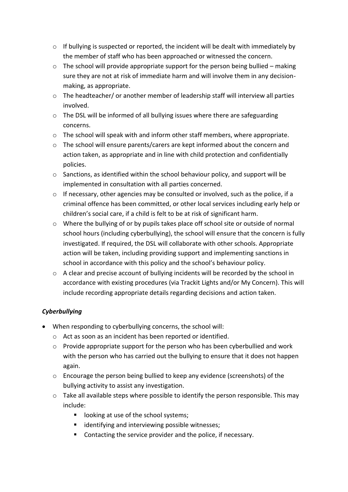- $\circ$  If bullying is suspected or reported, the incident will be dealt with immediately by the member of staff who has been approached or witnessed the concern.
- $\circ$  The school will provide appropriate support for the person being bullied making sure they are not at risk of immediate harm and will involve them in any decisionmaking, as appropriate.
- o The headteacher/ or another member of leadership staff will interview all parties involved.
- o The DSL will be informed of all bullying issues where there are safeguarding concerns.
- o The school will speak with and inform other staff members, where appropriate.
- o The school will ensure parents/carers are kept informed about the concern and action taken, as appropriate and in line with child protection and confidentially policies.
- $\circ$  Sanctions, as identified within the school behaviour policy, and support will be implemented in consultation with all parties concerned.
- $\circ$  If necessary, other agencies may be consulted or involved, such as the police, if a criminal offence has been committed, or other local services including early help or children's social care, if a child is felt to be at risk of significant harm.
- $\circ$  Where the bullying of or by pupils takes place off school site or outside of normal school hours (including cyberbullying), the school will ensure that the concern is fully investigated. If required, the DSL will collaborate with other schools. Appropriate action will be taken, including providing support and implementing sanctions in school in accordance with this policy and the school's behaviour policy.
- o A clear and precise account of bullying incidents will be recorded by the school in accordance with existing procedures (via Trackit Lights and/or My Concern). This will include recording appropriate details regarding decisions and action taken.

#### *Cyberbullying*

- When responding to cyberbullying concerns, the school will:
	- o Act as soon as an incident has been reported or identified.
	- o Provide appropriate support for the person who has been cyberbullied and work with the person who has carried out the bullying to ensure that it does not happen again.
	- o Encourage the person being bullied to keep any evidence (screenshots) of the bullying activity to assist any investigation.
	- o Take all available steps where possible to identify the person responsible. This may include:
		- **IDOMIGE 19 IDOMIGE 15 IS CONTENT** 100 **I** school systems;
		- **If** identifying and interviewing possible witnesses;
		- Contacting the service provider and the police, if necessary.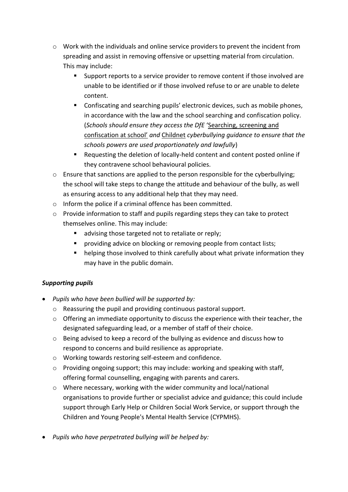- o Work with the individuals and online service providers to prevent the incident from spreading and assist in removing offensive or upsetting material from circulation. This may include:
	- Support reports to a service provider to remove content if those involved are unable to be identified or if those involved refuse to or are unable to delete content.
	- Confiscating and searching pupils' electronic devices, such as mobile phones, in accordance with the law and the school searching and confiscation policy. (*Schools should ensure they access the DfE* '[Searching, screening and](https://www.gov.uk/government/publications/searching-screening-and-confiscation)  [confiscation at school'](https://www.gov.uk/government/publications/searching-screening-and-confiscation) *and* [Childnet](http://www.childnet.com/resources/cyberbullying-guidance-for-schools) *cyberbullying guidance to ensure that the schools powers are used proportionately and lawfully*)
	- Requesting the deletion of locally-held content and content posted online if they contravene school behavioural policies.
- $\circ$  Ensure that sanctions are applied to the person responsible for the cyberbullying; the school will take steps to change the attitude and behaviour of the bully, as well as ensuring access to any additional help that they may need.
- o Inform the police if a criminal offence has been committed.
- o Provide information to staff and pupils regarding steps they can take to protect themselves online. This may include:
	- advising those targeted not to retaliate or reply;
	- providing advice on blocking or removing people from contact lists;
	- **•** helping those involved to think carefully about what private information they may have in the public domain.

#### *Supporting pupils*

- *Pupils who have been bullied will be supported by:*
	- o Reassuring the pupil and providing continuous pastoral support.
	- o Offering an immediate opportunity to discuss the experience with their teacher, the designated safeguarding lead, or a member of staff of their choice.
	- o Being advised to keep a record of the bullying as evidence and discuss how to respond to concerns and build resilience as appropriate.
	- o Working towards restoring self-esteem and confidence.
	- $\circ$  Providing ongoing support; this may include: working and speaking with staff, offering formal counselling, engaging with parents and carers.
	- o Where necessary, working with the wider community and local/national organisations to provide further or specialist advice and guidance; this could include support through Early Help or Children Social Work Service, or support through the Children and Young People's Mental Health Service (CYPMHS).
- *Pupils who have perpetrated bullying will be helped by:*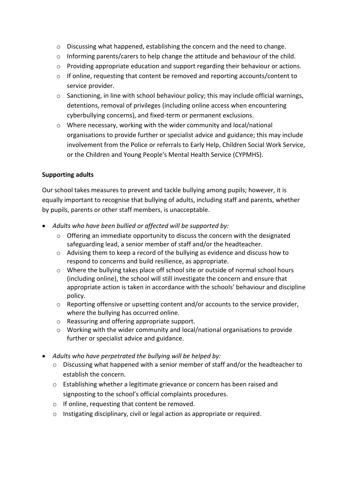- o Discussing what happened, establishing the concern and the need to change.
- $\circ$  Informing parents/carers to help change the attitude and behaviour of the child.
- $\circ$  Providing appropriate education and support regarding their behaviour or actions.
- o If online, requesting that content be removed and reporting accounts/content to service provider.
- $\circ$  Sanctioning, in line with school behaviour policy; this may include official warnings, detentions, removal of privileges (including online access when encountering cyberbullying concerns), and fixed-term or permanent exclusions.
- o Where necessary, working with the wider community and local/national organisations to provide further or specialist advice and guidance; this may include involvement from the Police or referrals to Early Help, Children Social Work Service, or the Children and Young People's Mental Health Service (CYPMHS).

#### **Supporting adults**

Our school takes measures to prevent and tackle bullying among pupils; however, it is equally important to recognise that bullying of adults, including staff and parents, whether by pupils, parents or other staff members, is unacceptable.

- *Adults who have been bullied or affected will be supported by:*
	- $\circ$  Offering an immediate opportunity to discuss the concern with the designated safeguarding lead, a senior member of staff and/or the headteacher.
	- o Advising them to keep a record of the bullying as evidence and discuss how to respond to concerns and build resilience, as appropriate.
	- o Where the bullying takes place off school site or outside of normal school hours (including online), the school will still investigate the concern and ensure that appropriate action is taken in accordance with the schools' behaviour and discipline policy.
	- o Reporting offensive or upsetting content and/or accounts to the service provider, where the bullying has occurred online.
	- o Reassuring and offering appropriate support.
	- o Working with the wider community and local/national organisations to provide further or specialist advice and guidance.
- *Adults who have perpetrated the bullying will be helped by:*
	- o Discussing what happened with a senior member of staff and/or the headteacher to establish the concern.
	- o Establishing whether a legitimate grievance or concern has been raised and signposting to the school's official complaints procedures.
	- o If online, requesting that content be removed.
	- o Instigating disciplinary, civil or legal action as appropriate or required.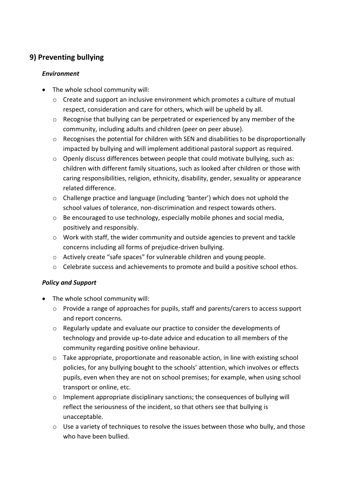# **9) Preventing bullying**

#### *Environment*

- The whole school community will:
	- $\circ$  Create and support an inclusive environment which promotes a culture of mutual respect, consideration and care for others, which will be upheld by all.
	- $\circ$  Recognise that bullying can be perpetrated or experienced by any member of the community, including adults and children (peer on peer abuse).
	- $\circ$  Recognises the potential for children with SEN and disabilities to be disproportionally impacted by bullying and will implement additional pastoral support as required.
	- o Openly discuss differences between people that could motivate bullying, such as: children with different family situations, such as looked after children or those with caring responsibilities, religion, ethnicity, disability, gender, sexuality or appearance related difference.
	- o Challenge practice and language (including 'banter') which does not uphold the school values of tolerance, non-discrimination and respect towards others.
	- $\circ$  Be encouraged to use technology, especially mobile phones and social media, positively and responsibly.
	- o Work with staff, the wider community and outside agencies to prevent and tackle concerns including all forms of prejudice-driven bullying.
	- o Actively create "safe spaces" for vulnerable children and young people.
	- $\circ$  Celebrate success and achievements to promote and build a positive school ethos.

#### *Policy and Support*

- The whole school community will:
	- $\circ$  Provide a range of approaches for pupils, staff and parents/carers to access support and report concerns.
	- $\circ$  Regularly update and evaluate our practice to consider the developments of technology and provide up-to-date advice and education to all members of the community regarding positive online behaviour.
	- o Take appropriate, proportionate and reasonable action, in line with existing school policies, for any bullying bought to the schools' attention, which involves or effects pupils, even when they are not on school premises; for example, when using school transport or online, etc.
	- o Implement appropriate disciplinary sanctions; the consequences of bullying will reflect the seriousness of the incident, so that others see that bullying is unacceptable.
	- o Use a variety of techniques to resolve the issues between those who bully, and those who have been bullied.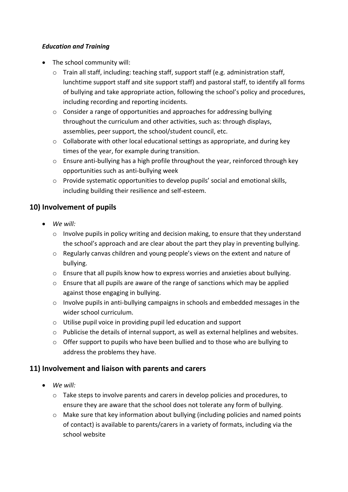#### *Education and Training*

- The school community will:
	- o Train all staff, including: teaching staff, support staff (e.g. administration staff, lunchtime support staff and site support staff) and pastoral staff, to identify all forms of bullying and take appropriate action, following the school's policy and procedures, including recording and reporting incidents.
	- o Consider a range of opportunities and approaches for addressing bullying throughout the curriculum and other activities, such as: through displays, assemblies, peer support, the school/student council, etc.
	- o Collaborate with other local educational settings as appropriate, and during key times of the year, for example during transition.
	- o Ensure anti-bullying has a high profile throughout the year, reinforced through key opportunities such as anti-bullying week
	- o Provide systematic opportunities to develop pupils' social and emotional skills, including building their resilience and self-esteem.

### **10) Involvement of pupils**

- *We will:* 
	- $\circ$  Involve pupils in policy writing and decision making, to ensure that they understand the school's approach and are clear about the part they play in preventing bullying.
	- o Regularly canvas children and young people's views on the extent and nature of bullying.
	- $\circ$  Ensure that all pupils know how to express worries and anxieties about bullying.
	- $\circ$  Ensure that all pupils are aware of the range of sanctions which may be applied against those engaging in bullying.
	- $\circ$  Involve pupils in anti-bullying campaigns in schools and embedded messages in the wider school curriculum.
	- o Utilise pupil voice in providing pupil led education and support
	- $\circ$  Publicise the details of internal support, as well as external helplines and websites.
	- $\circ$  Offer support to pupils who have been bullied and to those who are bullying to address the problems they have.

#### **11) Involvement and liaison with parents and carers**

- *We will:* 
	- $\circ$  Take steps to involve parents and carers in develop policies and procedures, to ensure they are aware that the school does not tolerate any form of bullying.
	- $\circ$  Make sure that key information about bullying (including policies and named points of contact) is available to parents/carers in a variety of formats, including via the school website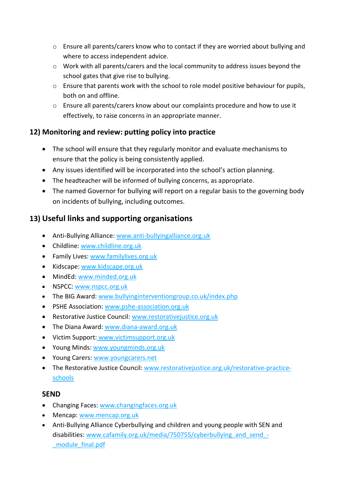- o Ensure all parents/carers know who to contact if they are worried about bullying and where to access independent advice.
- o Work with all parents/carers and the local community to address issues beyond the school gates that give rise to bullying.
- o Ensure that parents work with the school to role model positive behaviour for pupils, both on and offline.
- $\circ$  Ensure all parents/carers know about our complaints procedure and how to use it effectively, to raise concerns in an appropriate manner.

# **12) Monitoring and review: putting policy into practice**

- The school will ensure that they regularly monitor and evaluate mechanisms to ensure that the policy is being consistently applied.
- Any issues identified will be incorporated into the school's action planning.
- The headteacher will be informed of bullying concerns, as appropriate.
- The named Governor for bullying will report on a regular basis to the governing body on incidents of bullying, including outcomes.

# **13) Useful links and supporting organisations**

- Anti-Bullying Alliance: [www.anti-bullyingalliance.org.uk](http://www.anti-bullyingalliance.org.uk/)
- Childline: [www.childline.org.uk](http://www.childline.org.uk/)
- Family Lives: [www.familylives.org.uk](http://www.familylives.org.uk/)
- Kidscape: [www.kidscape.org.uk](http://www.kidscape.org.uk/)
- MindEd: [www.minded.org.uk](http://www.minded.org.uk/)
- NSPCC: [www.nspcc.org.uk](http://www.nspcc.org.uk/)
- The BIG Award: [www.bullyinginterventiongroup.co.uk/index.php](https://www.bullyinginterventiongroup.co.uk/index.php)
- PSHE Association: [www.pshe-association.org.uk](http://www.pshe-association.org.uk/)
- Restorative Justice Council: [www.restorativejustice.org.uk](http://www.restorativejustice.org.uk/)
- The Diana Award: [www.diana-award.org.uk](http://www.diana-award.org.uk/)
- Victim Support: [www.victimsupport.org.uk](http://www.victimsupport.org.uk/)
- Young Minds: [www.youngminds.org.uk](http://www.youngminds.org.uk/)
- Young Carers: [www.youngcarers.net](http://www.youngcarers.net/)
- The Restorative Justice Council: [www.restorativejustice.org.uk/restorative-practice](http://www.restorativejustice.org.uk/restorative-practice-schools)[schools](http://www.restorativejustice.org.uk/restorative-practice-schools)

### **SEND**

- Changing Faces[: www.changingfaces.org.uk](http://www.changingfaces.org.uk/)
- Mencap: [www.mencap.org.uk](http://www.mencap.org.uk/)
- Anti-Bullying Alliance Cyberbullying and children and young people with SEN and disabilities: [www.cafamily.org.uk/media/750755/cyberbullying\\_and\\_send\\_-](http://www.cafamily.org.uk/media/750755/cyberbullying_and_send_-_module_final.pdf) [\\_module\\_final.pdf](http://www.cafamily.org.uk/media/750755/cyberbullying_and_send_-_module_final.pdf)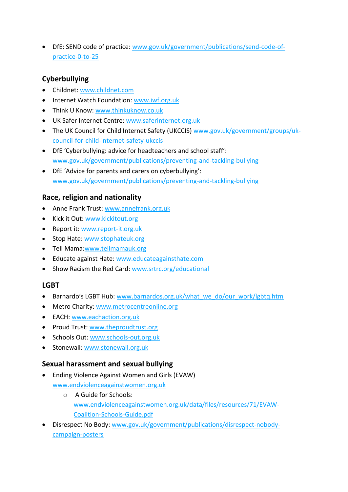DfE: SEND code of practice: [www.gov.uk/government/publications/send-code-of](https://www.gov.uk/government/publications/send-code-of-practice-0-to-25)[practice-0-to-25](https://www.gov.uk/government/publications/send-code-of-practice-0-to-25)

# **Cyberbullying**

- Childnet[: www.childnet.com](http://www.childnet.com/)
- Internet Watch Foundation: [www.iwf.org.uk](http://www.iwf.org.uk/)
- Think U Know: [www.thinkuknow.co.uk](http://www.thinkuknow.co.uk/)
- UK Safer Internet Centre: [www.saferinternet.org.uk](http://www.saferinternet.org.uk/)
- The UK Council for Child Internet Safety (UKCCIS) [www.gov.uk/government/groups/uk](http://www.gov.uk/government/groups/uk-council-for-child-internet-safety-ukccis)[council-for-child-internet-safety-ukccis](http://www.gov.uk/government/groups/uk-council-for-child-internet-safety-ukccis)
- DfE 'Cyberbullying: advice for headteachers and school staff': [www.gov.uk/government/publications/preventing-and-tackling-bullying](http://www.gov.uk/government/publications/preventing-and-tackling-bullying)
- DfE 'Advice for parents and carers on cyberbullying': [www.gov.uk/government/publications/preventing-and-tackling-bullying](http://www.gov.uk/government/publications/preventing-and-tackling-bullying)

# **Race, religion and nationality**

- Anne Frank Trust: [www.annefrank.org.uk](http://www.annefrank.org.uk/)
- Kick it Out: [www.kickitout.org](http://www.kickitout.org/)
- Report it[: www.report-it.org.uk](http://www.report-it.org.uk/)
- Stop Hate: [www.stophateuk.org](http://www.stophateuk.org/)
- Tell Mama[:www.tellmamauk.org](http://www.tellmamauk.org/)
- Educate against Hate: [www.educateagainsthate.com](http://www.educateagainsthate.com/)
- Show Racism the Red Card: [www.srtrc.org/educational](http://www.srtrc.org/educational)

### **LGBT**

- Barnardo's LGBT Hub: [www.barnardos.org.uk/what\\_we\\_do/our\\_work/lgbtq.htm](http://www.barnardos.org.uk/what_we_do/our_work/lgbtq.htm)
- Metro Charity: [www.metrocentreonline.org](http://www.metrocentreonline.org/)
- EACH: [www.eachaction.org.uk](http://www.eachaction.org.uk/)
- Proud Trust: [www.theproudtrust.org](http://www.theproudtrust.org/)
- Schools Out: [www.schools-out.org.uk](http://www.schools-out.org.uk/)
- **Stonewall: [www.stonewall.org.uk](http://www.stonewall.org.uk/)**

### **Sexual harassment and sexual bullying**

- Ending Violence Against Women and Girls (EVAW) [www.endviolenceagainstwomen.org.uk](http://www.endviolenceagainstwomen.org.uk/)
	- o A Guide for Schools: [www.endviolenceagainstwomen.org.uk/data/files/resources/71/EVAW-](http://www.endviolenceagainstwomen.org.uk/data/files/resources/71/EVAW-Coalition-Schools-Guide.pdf)[Coalition-Schools-Guide.pdf](http://www.endviolenceagainstwomen.org.uk/data/files/resources/71/EVAW-Coalition-Schools-Guide.pdf)
- Disrespect No Body: [www.gov.uk/government/publications/disrespect-nobody](http://www.gov.uk/government/publications/disrespect-nobody-campaign-posters)[campaign-posters](http://www.gov.uk/government/publications/disrespect-nobody-campaign-posters)